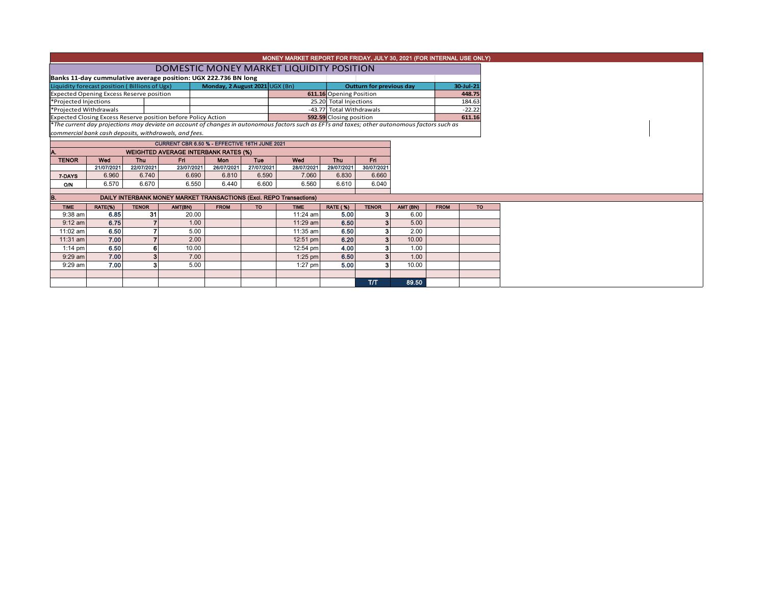|                        |                                                 |              |                                                                                                                                               |                                |            | MONEY MARKET REPORT FOR FRIDAY, JULY 30, 2021 (FOR INTERNAL USE ONLY) |                          |                          |          |             |                |
|------------------------|-------------------------------------------------|--------------|-----------------------------------------------------------------------------------------------------------------------------------------------|--------------------------------|------------|-----------------------------------------------------------------------|--------------------------|--------------------------|----------|-------------|----------------|
|                        |                                                 |              | DOMESTIC MONEY MARKET LIQUIDITY POSITION                                                                                                      |                                |            |                                                                       |                          |                          |          |             |                |
|                        |                                                 |              | Banks 11-day cummulative average position: UGX 222.736 BN long                                                                                |                                |            |                                                                       |                          |                          |          |             |                |
|                        | Liquidity forecast position (Billions of Ugx)   |              |                                                                                                                                               | Monday, 2 August 2021 UGX (Bn) |            |                                                                       |                          | Outturn for previous day |          |             | 30-Jul-21      |
|                        | <b>Expected Opening Excess Reserve position</b> |              |                                                                                                                                               |                                |            |                                                                       | 611.16 Opening Position  |                          |          |             | 448.75         |
| *Projected Injections  |                                                 |              |                                                                                                                                               |                                |            |                                                                       | 25.20 Total Injections   |                          |          |             | 184.63         |
| *Projected Withdrawals |                                                 |              |                                                                                                                                               |                                |            |                                                                       | -43.77 Total Withdrawals |                          |          |             | $-22.22$       |
|                        |                                                 |              | Expected Closing Excess Reserve position before Policy Action                                                                                 |                                |            |                                                                       | 592.59 Closing position  |                          |          |             | 611.16         |
|                        |                                                 |              | *The current day projections may deviate on account of changes in autonomous factors such as EFTs and taxes; other autonomous factors such as |                                |            |                                                                       |                          |                          |          |             |                |
|                        |                                                 |              | commercial bank cash deposits, withdrawals, and fees.                                                                                         |                                |            |                                                                       |                          |                          |          |             |                |
|                        |                                                 |              | CURRENT CBR 6.50 % - EFFECTIVE 16TH JUNE 2021                                                                                                 |                                |            |                                                                       |                          |                          |          |             |                |
| Α.                     |                                                 |              | <b>WEIGHTED AVERAGE INTERBANK RATES (%)</b>                                                                                                   |                                |            |                                                                       |                          |                          |          |             |                |
| <b>TENOR</b>           | Wed                                             | Thu          | Fri.                                                                                                                                          | <b>Mon</b>                     | Tue        | Wed                                                                   | Thu                      | Fri.                     |          |             |                |
|                        | 21/07/2021                                      | 22/07/2021   | 23/07/2021                                                                                                                                    | 26/07/2021                     | 27/07/2021 | 28/07/2021                                                            | 29/07/2021               | 30/07/2021               |          |             |                |
| 7-DAYS                 | 6.960                                           | 6.740        | 6.690                                                                                                                                         | 6.810                          | 6.590      | 7.060                                                                 | 6.830                    | 6.660                    |          |             |                |
| <b>O/N</b>             | 6.570                                           | 6.670        | 6.550                                                                                                                                         | 6.440                          | 6.600      | 6.560                                                                 | 6.610                    | 6.040                    |          |             |                |
| В.                     |                                                 |              | DAILY INTERBANK MONEY MARKET TRANSACTIONS (Excl. REPO Transactions)                                                                           |                                |            |                                                                       |                          |                          |          |             |                |
| <b>TIME</b>            | RATE(%)                                         | <b>TENOR</b> | AMT(BN)                                                                                                                                       | <b>FROM</b>                    | <b>TO</b>  | <b>TIME</b>                                                           | <b>RATE (%)</b>          | <b>TENOR</b>             | AMT (BN) | <b>FROM</b> | T <sub>O</sub> |
| 9:38 am                | 6.85                                            | 31           | 20.00                                                                                                                                         |                                |            | $11:24$ am                                                            | 5.00                     | 3                        | 6.00     |             |                |
| $9:12$ am              | 6.75                                            |              | 1.00                                                                                                                                          |                                |            | $11:29$ am                                                            | 6.50                     | 3 <sup>1</sup>           | 5.00     |             |                |
| 11:02 am               | 6.50                                            | 7            | 5.00                                                                                                                                          |                                |            | 11:35 am                                                              | 6.50                     | 3 <sup>1</sup>           | 2.00     |             |                |
| 11:31 am               | 7.00                                            |              | 2.00                                                                                                                                          |                                |            | 12:51 pm                                                              | 6.20                     | 3 <sup>1</sup>           | 10.00    |             |                |
| $1:14$ pm              | 6.50                                            | 6            | 10.00                                                                                                                                         |                                |            | 12:54 pm                                                              | 4.00                     | 3                        | 1.00     |             |                |
| 9:29 am                | 7.00                                            | 3            | 7.00                                                                                                                                          |                                |            | $1:25$ pm                                                             | 6.50                     | 3 <sup>1</sup>           | 1.00     |             |                |
| 9:29 am                | 7.00                                            |              | 5.00                                                                                                                                          |                                |            | $1:27$ pm                                                             | 5.00                     | 3                        | 10.00    |             |                |
|                        |                                                 |              |                                                                                                                                               |                                |            |                                                                       |                          |                          |          |             |                |
|                        |                                                 |              |                                                                                                                                               |                                |            |                                                                       |                          | T/T                      | 89.50    |             |                |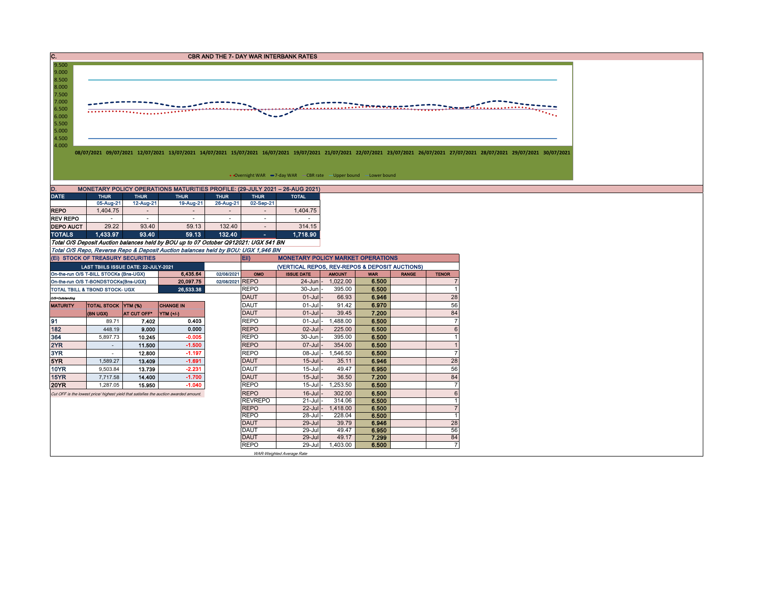